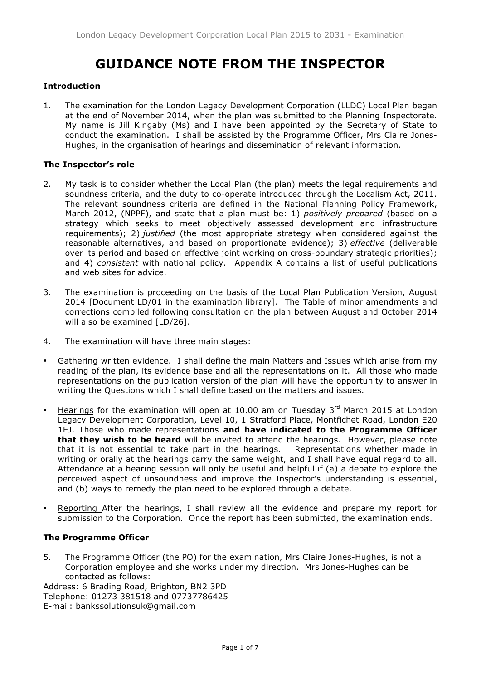# **GUIDANCE NOTE FROM THE INSPECTOR**

# **Introduction**

1. The examination for the London Legacy Development Corporation (LLDC) Local Plan began at the end of November 2014, when the plan was submitted to the Planning Inspectorate. My name is Jill Kingaby (Ms) and I have been appointed by the Secretary of State to conduct the examination. I shall be assisted by the Programme Officer, Mrs Claire Jones-Hughes, in the organisation of hearings and dissemination of relevant information.

# **The Inspector's role**

- 2. My task is to consider whether the Local Plan (the plan) meets the legal requirements and soundness criteria, and the duty to co-operate introduced through the Localism Act, 2011. The relevant soundness criteria are defined in the National Planning Policy Framework, March 2012, (NPPF), and state that a plan must be: 1) *positively prepared* (based on a strategy which seeks to meet objectively assessed development and infrastructure requirements); 2) *justified* (the most appropriate strategy when considered against the reasonable alternatives, and based on proportionate evidence); 3) *effective* (deliverable over its period and based on effective joint working on cross-boundary strategic priorities); and 4) *consistent* with national policy. Appendix A contains a list of useful publications and web sites for advice.
- 3. The examination is proceeding on the basis of the Local Plan Publication Version, August 2014 [Document LD/01 in the examination library]. The Table of minor amendments and corrections compiled following consultation on the plan between August and October 2014 will also be examined [LD/26].
- 4. The examination will have three main stages:
- Gathering written evidence. I shall define the main Matters and Issues which arise from my reading of the plan, its evidence base and all the representations on it. All those who made representations on the publication version of the plan will have the opportunity to answer in writing the Questions which I shall define based on the matters and issues.
- Hearings for the examination will open at 10.00 am on Tuesday  $3<sup>rd</sup>$  March 2015 at London Legacy Development Corporation, Level 10, 1 Stratford Place, Montfichet Road, London E20 1EJ. Those who made representations **and have indicated to the Programme Officer that they wish to be heard** will be invited to attend the hearings. However, please note that it is not essential to take part in the hearings. Representations whether made in writing or orally at the hearings carry the same weight, and I shall have equal regard to all. Attendance at a hearing session will only be useful and helpful if (a) a debate to explore the perceived aspect of unsoundness and improve the Inspector's understanding is essential, and (b) ways to remedy the plan need to be explored through a debate.
- Reporting After the hearings, I shall review all the evidence and prepare my report for submission to the Corporation. Once the report has been submitted, the examination ends.

# **The Programme Officer**

5. The Programme Officer (the PO) for the examination, Mrs Claire Jones-Hughes, is not a Corporation employee and she works under my direction. Mrs Jones-Hughes can be contacted as follows:

Address: 6 Brading Road, Brighton, BN2 3PD Telephone: 01273 381518 and 07737786425 E-mail: bankssolutionsuk@gmail.com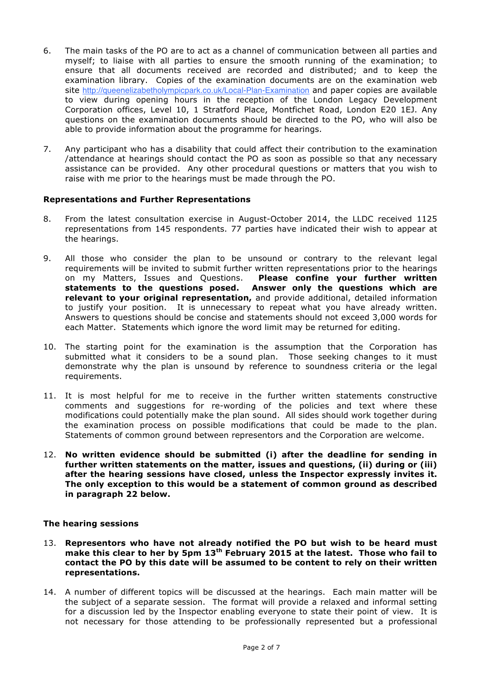- 6. The main tasks of the PO are to act as a channel of communication between all parties and myself; to liaise with all parties to ensure the smooth running of the examination; to ensure that all documents received are recorded and distributed; and to keep the examination library. Copies of the examination documents are on the examination web site http://queenelizabetholympicpark.co.uk/Local-Plan-Examination and paper copies are available to view during opening hours in the reception of the London Legacy Development Corporation offices, Level 10, 1 Stratford Place, Montfichet Road, London E20 1EJ. Any questions on the examination documents should be directed to the PO, who will also be able to provide information about the programme for hearings.
- 7. Any participant who has a disability that could affect their contribution to the examination /attendance at hearings should contact the PO as soon as possible so that any necessary assistance can be provided. Any other procedural questions or matters that you wish to raise with me prior to the hearings must be made through the PO.

#### **Representations and Further Representations**

- 8. From the latest consultation exercise in August-October 2014, the LLDC received 1125 representations from 145 respondents. 77 parties have indicated their wish to appear at the hearings.
- 9. All those who consider the plan to be unsound or contrary to the relevant legal requirements will be invited to submit further written representations prior to the hearings on my Matters, Issues and Questions. **Please confine your further written statements to the questions posed. Answer only the questions which are relevant to your original representation,** and provide additional, detailed information to justify your position. It is unnecessary to repeat what you have already written. Answers to questions should be concise and statements should not exceed 3,000 words for each Matter. Statements which ignore the word limit may be returned for editing.
- 10. The starting point for the examination is the assumption that the Corporation has submitted what it considers to be a sound plan. Those seeking changes to it must demonstrate why the plan is unsound by reference to soundness criteria or the legal requirements.
- 11. It is most helpful for me to receive in the further written statements constructive comments and suggestions for re-wording of the policies and text where these modifications could potentially make the plan sound. All sides should work together during the examination process on possible modifications that could be made to the plan. Statements of common ground between representors and the Corporation are welcome.
- 12. **No written evidence should be submitted (i) after the deadline for sending in further written statements on the matter, issues and questions, (ii) during or (iii) after the hearing sessions have closed, unless the Inspector expressly invites it. The only exception to this would be a statement of common ground as described in paragraph 22 below.**

#### **The hearing sessions**

- 13. **Representors who have not already notified the PO but wish to be heard must make this clear to her by 5pm 13th February 2015 at the latest. Those who fail to contact the PO by this date will be assumed to be content to rely on their written representations.**
- 14. A number of different topics will be discussed at the hearings. Each main matter will be the subject of a separate session. The format will provide a relaxed and informal setting for a discussion led by the Inspector enabling everyone to state their point of view. It is not necessary for those attending to be professionally represented but a professional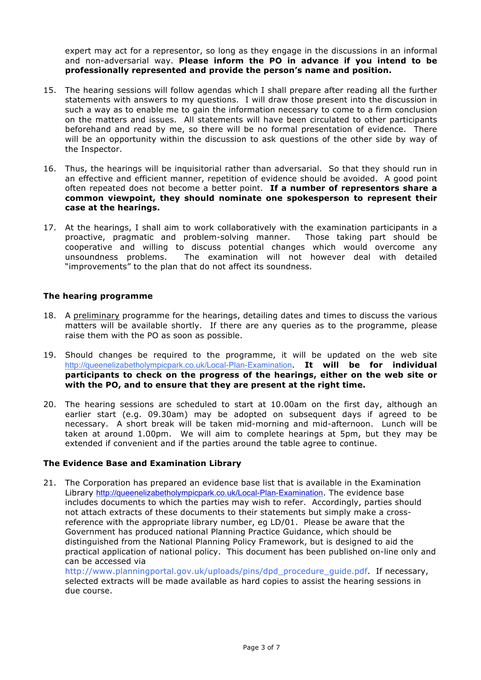expert may act for a representor, so long as they engage in the discussions in an informal and non-adversarial way. **Please inform the PO in advance if you intend to be professionally represented and provide the person's name and position.** 

- 15. The hearing sessions will follow agendas which I shall prepare after reading all the further statements with answers to my questions. I will draw those present into the discussion in such a way as to enable me to gain the information necessary to come to a firm conclusion on the matters and issues. All statements will have been circulated to other participants beforehand and read by me, so there will be no formal presentation of evidence. There will be an opportunity within the discussion to ask questions of the other side by way of the Inspector.
- 16. Thus, the hearings will be inquisitorial rather than adversarial. So that they should run in an effective and efficient manner, repetition of evidence should be avoided. A good point often repeated does not become a better point. **If a number of representors share a common viewpoint, they should nominate one spokesperson to represent their case at the hearings.**
- 17. At the hearings, I shall aim to work collaboratively with the examination participants in a proactive, pragmatic and problem-solving manner. Those taking part should be cooperative and willing to discuss potential changes which would overcome any unsoundness problems. The examination will not however deal with detailed "improvements" to the plan that do not affect its soundness.

#### **The hearing programme**

- 18. A preliminary programme for the hearings, detailing dates and times to discuss the various matters will be available shortly. If there are any queries as to the programme, please raise them with the PO as soon as possible.
- 19. Should changes be required to the programme, it will be updated on the web site http://queenelizabetholympicpark.co.uk/Local-Plan-Examination. **It will be for individual participants to check on the progress of the hearings, either on the web site or with the PO, and to ensure that they are present at the right time.**
- 20. The hearing sessions are scheduled to start at 10.00am on the first day, although an earlier start (e.g. 09.30am) may be adopted on subsequent days if agreed to be necessary. A short break will be taken mid-morning and mid-afternoon. Lunch will be taken at around 1.00pm. We will aim to complete hearings at 5pm, but they may be extended if convenient and if the parties around the table agree to continue.

#### **The Evidence Base and Examination Library**

21. The Corporation has prepared an evidence base list that is available in the Examination Library http://queenelizabetholympicpark.co.uk/Local-Plan-Examination. The evidence base includes documents to which the parties may wish to refer. Accordingly, parties should not attach extracts of these documents to their statements but simply make a crossreference with the appropriate library number, eg LD/01. Please be aware that the Government has produced national Planning Practice Guidance, which should be distinguished from the National Planning Policy Framework, but is designed to aid the practical application of national policy. This document has been published on-line only and can be accessed via

http://www.planningportal.gov.uk/uploads/pins/dpd\_procedure\_guide.pdf. If necessary, selected extracts will be made available as hard copies to assist the hearing sessions in due course.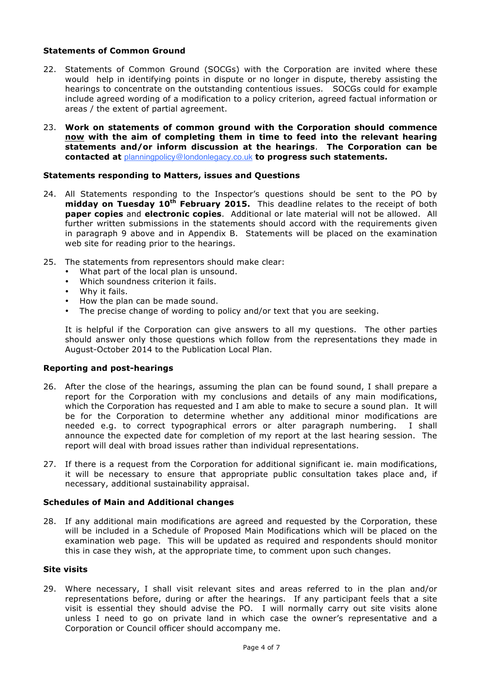### **Statements of Common Ground**

- 22. Statements of Common Ground (SOCGs) with the Corporation are invited where these would help in identifying points in dispute or no longer in dispute, thereby assisting the hearings to concentrate on the outstanding contentious issues. SOCGs could for example include agreed wording of a modification to a policy criterion, agreed factual information or areas / the extent of partial agreement.
- 23. **Work on statements of common ground with the Corporation should commence now with the aim of completing them in time to feed into the relevant hearing statements and/or inform discussion at the hearings**. **The Corporation can be contacted at** planningpolicy@londonlegacy.co.uk **to progress such statements.**

#### **Statements responding to Matters, issues and Questions**

- 24. All Statements responding to the Inspector's questions should be sent to the PO by **midday on Tuesday 10th February 2015.** This deadline relates to the receipt of both **paper copies** and **electronic copies**. Additional or late material will not be allowed. All further written submissions in the statements should accord with the requirements given in paragraph 9 above and in Appendix B. Statements will be placed on the examination web site for reading prior to the hearings.
- 25. The statements from representors should make clear:
	- What part of the local plan is unsound.
	- Which soundness criterion it fails.
	- Why it fails.<br>• How the play
	- How the plan can be made sound.
	- The precise change of wording to policy and/or text that you are seeking.

It is helpful if the Corporation can give answers to all my questions. The other parties should answer only those questions which follow from the representations they made in August-October 2014 to the Publication Local Plan.

# **Reporting and post-hearings**

- 26. After the close of the hearings, assuming the plan can be found sound, I shall prepare a report for the Corporation with my conclusions and details of any main modifications, which the Corporation has requested and I am able to make to secure a sound plan. It will be for the Corporation to determine whether any additional minor modifications are needed e.g. to correct typographical errors or alter paragraph numbering. I shall announce the expected date for completion of my report at the last hearing session. The report will deal with broad issues rather than individual representations.
- 27. If there is a request from the Corporation for additional significant ie. main modifications, it will be necessary to ensure that appropriate public consultation takes place and, if necessary, additional sustainability appraisal.

#### **Schedules of Main and Additional changes**

28. If any additional main modifications are agreed and requested by the Corporation, these will be included in a Schedule of Proposed Main Modifications which will be placed on the examination web page. This will be updated as required and respondents should monitor this in case they wish, at the appropriate time, to comment upon such changes.

#### **Site visits**

29. Where necessary, I shall visit relevant sites and areas referred to in the plan and/or representations before, during or after the hearings. If any participant feels that a site visit is essential they should advise the PO. I will normally carry out site visits alone unless I need to go on private land in which case the owner's representative and a Corporation or Council officer should accompany me.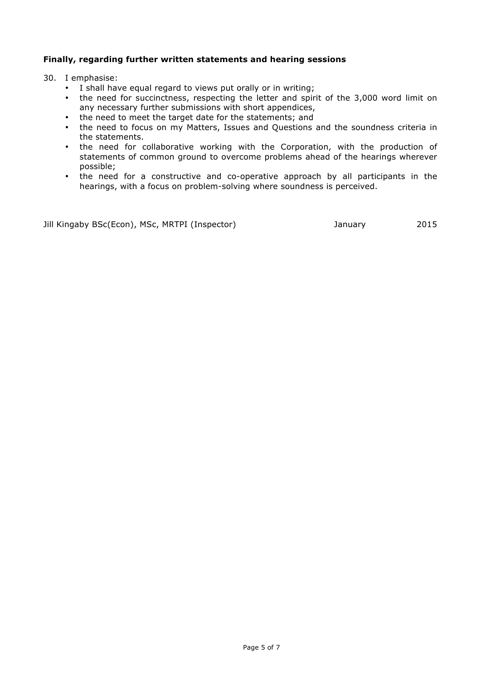# **Finally, regarding further written statements and hearing sessions**

30. I emphasise:

- I shall have equal regard to views put orally or in writing;
- the need for succinctness, respecting the letter and spirit of the 3,000 word limit on any necessary further submissions with short appendices,
- the need to meet the target date for the statements; and
- the need to focus on my Matters, Issues and Questions and the soundness criteria in the statements.
- the need for collaborative working with the Corporation, with the production of statements of common ground to overcome problems ahead of the hearings wherever possible;
- the need for a constructive and co-operative approach by all participants in the hearings, with a focus on problem-solving where soundness is perceived.

Jill Kingaby BSc(Econ), MSc, MRTPI (Inspector) and any January 2015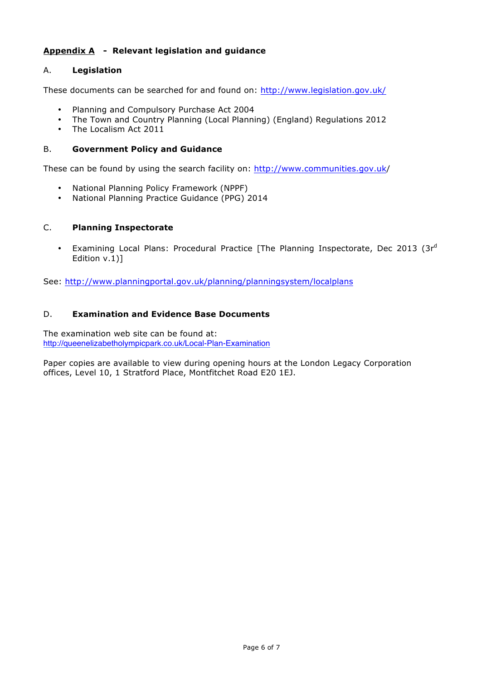# **Appendix A - Relevant legislation and guidance**

# A. **Legislation**

These documents can be searched for and found on: http://www.legislation.gov.uk/

- Planning and Compulsory Purchase Act 2004
- The Town and Country Planning (Local Planning) (England) Regulations 2012
- The Localism Act 2011

# B. **Government Policy and Guidance**

These can be found by using the search facility on: http://www.communities.gov.uk/

- National Planning Policy Framework (NPPF)
- National Planning Practice Guidance (PPG) 2014

# C. **Planning Inspectorate**

• Examining Local Plans: Procedural Practice [The Planning Inspectorate, Dec 2013 (3rd Edition v.1)]

See: http://www.planningportal.gov.uk/planning/planningsystem/localplans

# D. **Examination and Evidence Base Documents**

The examination web site can be found at: http://queenelizabetholympicpark.co.uk/Local-Plan-Examination

Paper copies are available to view during opening hours at the London Legacy Corporation offices, Level 10, 1 Stratford Place, Montfitchet Road E20 1EJ.